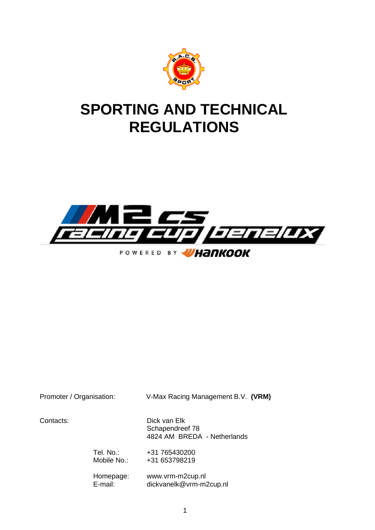

# **SPORTING AND TECHNICAL REGULATIONS**



Promoter / Organisation: V-Max Racing Management B.V. **(VRM)**

Contacts: Dick van Elk Schapendreef 78 4824 AM BREDA - Netherlands

> Tel. No.: +31 765430200 Mobile No.: +31 653798219

Homepage: www.vrm-m2cup.nl E-mail: dickvanelk@vrm-m2cup.nl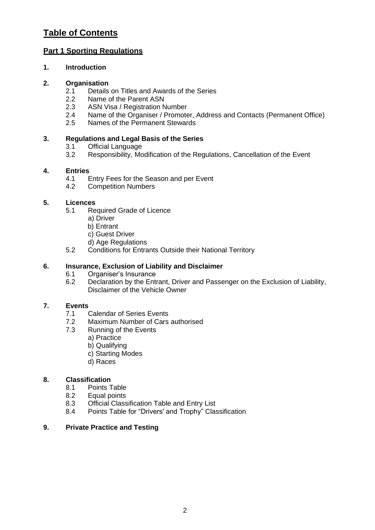# **Table of Contents**

# **Part 1 Sporting Regulations**

# **1. Introduction**

# **2. Organisation**

- 2.1 Details on Titles and Awards of the Series
- 2.2 Name of the Parent ASN<br>2.3 ASN Visa / Registration N
- ASN Visa / Registration Number
- 2.4 Name of the Organiser / Promoter, Address and Contacts (Permanent Office)<br>2.5 Names of the Permanent Stewards
- Names of the Permanent Stewards

#### **3. Regulations and Legal Basis of the Series**

- 3.1 Official Language<br>3.2 Responsibility, Mo
- Responsibility, Modification of the Regulations, Cancellation of the Event

# **4. Entries**

- 4.1 Entry Fees for the Season and per Event<br>4.2 Competition Numbers
- Competition Numbers

#### **5. Licences**

- 5.1 Required Grade of Licence
	- a) Driver
	- b) Entrant
	- c) Guest Driver
	- d) Age Regulations
- 5.2 Conditions for Entrants Outside their National Territory

#### **6. Insurance, Exclusion of Liability and Disclaimer**

- 6.1 Organiser's Insurance
- 6.2 Declaration by the Entrant, Driver and Passenger on the Exclusion of Liability, Disclaimer of the Vehicle Owner

# **7. Events**

- **Calendar of Series Events**
- 7.2 Maximum Number of Cars authorised
- 7.3 Running of the Events
	- a) Practice
	- b) Qualifying
	- c) Starting Modes
	- d) Races

# **8. Classification**

- 8.1 Points Table
- 8.2 Equal points
- 8.3 Official Classification Table and Entry List
- 8.4 Points Table for "Drivers' and Trophy" Classification

# **9. Private Practice and Testing**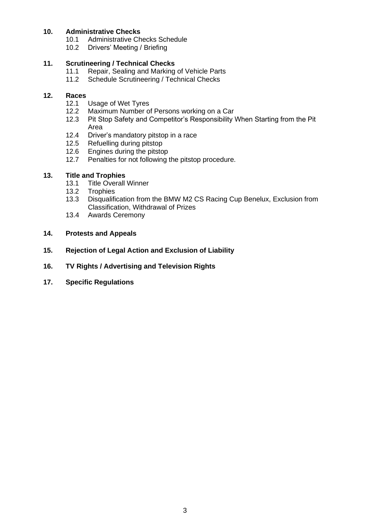# **10. Administrative Checks**

- 10.1 Administrative Checks Schedule<br>10.2 Drivers' Meeting / Briefing
- Drivers' Meeting / Briefing

# **11. Scrutineering / Technical Checks**

- 11.1 Repair, Sealing and Marking of Vehicle Parts<br>11.2 Schedule Scrutineering / Technical Checks
- Schedule Scrutineering / Technical Checks

# **12. Races**

- Usage of Wet Tyres
- 12.2 Maximum Number of Persons working on a Car
- 12.3 Pit Stop Safety and Competitor's Responsibility When Starting from the Pit Area
- 12.4 Driver's mandatory pitstop in a race
- 12.5 Refuelling during pitstop
- 12.6 Engines during the pitstop
- 12.7 Penalties for not following the pitstop procedure.

#### **13. Title and Trophies**

- 13.1 Title Overall Winner<br>13.2 Trophies
- 13.2 Trophies<br>13.3 Disqualifi
- Disqualification from the BMW M2 CS Racing Cup Benelux, Exclusion from Classification, Withdrawal of Prizes
- 13.4 Awards Ceremony

#### **14. Protests and Appeals**

- **15. Rejection of Legal Action and Exclusion of Liability**
- **16. TV Rights / Advertising and Television Rights**
- **17. Specific Regulations**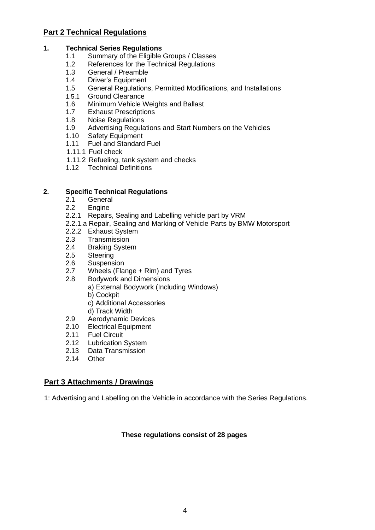# **Part 2 Technical Regulations**

#### **1. Technical Series Regulations**

- 1.1 Summary of the Eligible Groups / Classes<br>1.2 References for the Technical Regulations
- 1.2 References for the Technical Regulations<br>1.3 General / Preamble
- 1.3 General / Preamble<br>1.4 Driver's Equipment
- Driver's Equipment
- 1.5 General Regulations, Permitted Modifications, and Installations
- 1.5.1 Ground Clearance
- 1.6 Minimum Vehicle Weights and Ballast<br>1.7 Exhaust Prescriptions
- 1.7 Exhaust Prescriptions<br>1.8 Noise Regulations
- 1.8 Noise Regulations<br>1.9 Advertising Regula
- 1.9 Advertising Regulations and Start Numbers on the Vehicles<br>1.10 Safety Equipment
- Safety Equipment
- 1.11 Fuel and Standard Fuel
- 1.11.1 Fuel check
- 1.11.2 Refueling, tank system and checks
- 1.12 Technical Definitions

#### **2. Specific Technical Regulations**

- 2.1 General
- 2.2 Engine
- 2.2.1 Repairs, Sealing and Labelling vehicle part by VRM
- 2.2.1.a Repair, Sealing and Marking of Vehicle Parts by BMW Motorsport
- 2.2.2 Exhaust System
- 2.3 Transmission
- 2.4 Braking System
- 2.5 Steering
- 2.6 Suspension<br>2.7 Wheels (Fla
- Wheels (Flange  $+$  Rim) and Tyres
- 2.8 Bodywork and Dimensions
	- a) External Bodywork (Including Windows)
	- b) Cockpit
	- c) Additional Accessories
	- d) Track Width
- 2.9 Aerodynamic Devices
- 2.10 Electrical Equipment
- 2.11 Fuel Circuit
- 2.12 Lubrication System
- 2.13 Data Transmission
- 2.14 Other

# **Part 3 Attachments / Drawings**

1: Advertising and Labelling on the Vehicle in accordance with the Series Regulations.

#### **These regulations consist of 28 pages**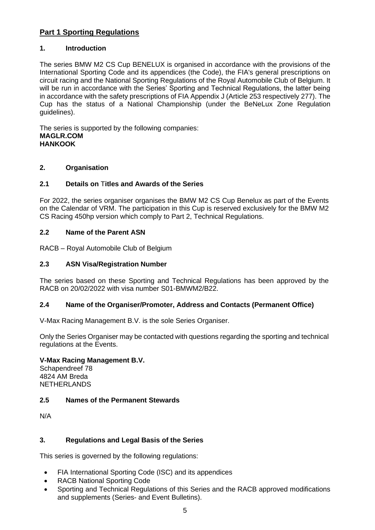# **Part 1 Sporting Regulations**

#### **1. Introduction**

The series BMW M2 CS Cup BENELUX is organised in accordance with the provisions of the International Sporting Code and its appendices (the Code), the FIA's general prescriptions on circuit racing and the National Sporting Regulations of the Royal Automobile Club of Belgium. It will be run in accordance with the Series' Sporting and Technical Regulations, the latter being in accordance with the safety prescriptions of FIA Appendix J (Article 253 respectively 277). The Cup has the status of a National Championship (under the BeNeLux Zone Regulation guidelines).

The series is supported by the following companies: **MAGLR.COM HANKOOK**

#### **2. Organisation**

#### **2.1 Details on** T**itles and Awards of the Series**

For 2022, the series organiser organises the BMW M2 CS Cup Benelux as part of the Events on the Calendar of VRM. The participation in this Cup is reserved exclusively for the BMW M2 CS Racing 450hp version which comply to Part 2, Technical Regulations.

#### **2.2 Name of the Parent ASN**

RACB – Royal Automobile Club of Belgium

#### **2.3 ASN Visa/Registration Number**

The series based on these Sporting and Technical Regulations has been approved by the RACB on 20/02/2022 with visa number S01-BMWM2/B22.

#### **2.4 Name of the Organiser/Promoter, Address and Contacts (Permanent Office)**

V-Max Racing Management B.V. is the sole Series Organiser.

Only the Series Organiser may be contacted with questions regarding the sporting and technical regulations at the Events.

#### **V-Max Racing Management B.V.**

Schapendreef 78 4824 AM Breda NETHERLANDS

#### **2.5 Names of the Permanent Stewards**

N/A

# **3. Regulations and Legal Basis of the Series**

This series is governed by the following regulations:

- FIA International Sporting Code (ISC) and its appendices
- RACB National Sporting Code
- Sporting and Technical Regulations of this Series and the RACB approved modifications and supplements (Series- and Event Bulletins).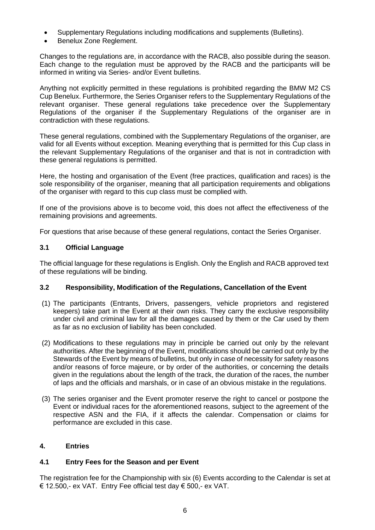- Supplementary Regulations including modifications and supplements (Bulletins).
- Benelux Zone Reglement.

Changes to the regulations are, in accordance with the RACB, also possible during the season. Each change to the regulation must be approved by the RACB and the participants will be informed in writing via Series- and/or Event bulletins.

Anything not explicitly permitted in these regulations is prohibited regarding the BMW M2 CS Cup Benelux. Furthermore, the Series Organiser refers to the Supplementary Regulations of the relevant organiser. These general regulations take precedence over the Supplementary Regulations of the organiser if the Supplementary Regulations of the organiser are in contradiction with these regulations.

These general regulations, combined with the Supplementary Regulations of the organiser, are valid for all Events without exception. Meaning everything that is permitted for this Cup class in the relevant Supplementary Regulations of the organiser and that is not in contradiction with these general regulations is permitted.

Here, the hosting and organisation of the Event (free practices, qualification and races) is the sole responsibility of the organiser, meaning that all participation requirements and obligations of the organiser with regard to this cup class must be complied with.

If one of the provisions above is to become void, this does not affect the effectiveness of the remaining provisions and agreements.

For questions that arise because of these general regulations, contact the Series Organiser.

#### **3.1 Official Language**

The official language for these regulations is English. Only the English and RACB approved text of these regulations will be binding.

#### **3.2 Responsibility, Modification of the Regulations, Cancellation of the Event**

- (1) The participants (Entrants, Drivers, passengers, vehicle proprietors and registered keepers) take part in the Event at their own risks. They carry the exclusive responsibility under civil and criminal law for all the damages caused by them or the Car used by them as far as no exclusion of liability has been concluded.
- (2) Modifications to these regulations may in principle be carried out only by the relevant authorities. After the beginning of the Event, modifications should be carried out only by the Stewards of the Event by means of bulletins, but only in case of necessity for safety reasons and/or reasons of force majeure, or by order of the authorities, or concerning the details given in the regulations about the length of the track, the duration of the races, the number of laps and the officials and marshals, or in case of an obvious mistake in the regulations.
- (3) The series organiser and the Event promoter reserve the right to cancel or postpone the Event or individual races for the aforementioned reasons, subject to the agreement of the respective ASN and the FIA, if it affects the calendar. Compensation or claims for performance are excluded in this case.

#### **4. Entries**

#### **4.1 Entry Fees for the Season and per Event**

The registration fee for the Championship with six (6) Events according to the Calendar is set at € 12.500,- ex VAT. Entry Fee official test day € 500,- ex VAT.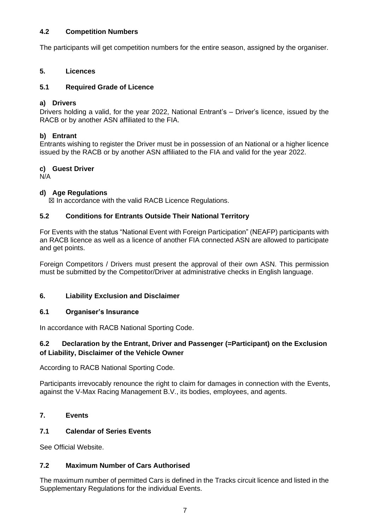# **4.2 Competition Numbers**

The participants will get competition numbers for the entire season, assigned by the organiser.

#### **5. Licences**

#### **5.1 Required Grade of Licence**

#### **a) Drivers**

Drivers holding a valid, for the year 2022, National Entrant's – Driver's licence, issued by the RACB or by another ASN affiliated to the FIA.

#### **b) Entrant**

Entrants wishing to register the Driver must be in possession of an National or a higher licence issued by the RACB or by another ASN affiliated to the FIA and valid for the year 2022.

#### **c) Guest Driver**

N/A

#### **d) Age Regulations**

☒ In accordance with the valid RACB Licence Regulations.

#### **5.2 Conditions for Entrants Outside Their National Territory**

For Events with the status "National Event with Foreign Participation" (NEAFP) participants with an RACB licence as well as a licence of another FIA connected ASN are allowed to participate and get points.

Foreign Competitors / Drivers must present the approval of their own ASN. This permission must be submitted by the Competitor/Driver at administrative checks in English language.

#### **6. Liability Exclusion and Disclaimer**

#### **6.1 Organiser's Insurance**

In accordance with RACB National Sporting Code.

#### **6.2 Declaration by the Entrant, Driver and Passenger (=Participant) on the Exclusion of Liability, Disclaimer of the Vehicle Owner**

According to RACB National Sporting Code.

Participants irrevocably renounce the right to claim for damages in connection with the Events, against the V-Max Racing Management B.V., its bodies, employees, and agents.

# **7. Events**

# **7.1 Calendar of Series Events**

See Official Website.

#### **7.2 Maximum Number of Cars Authorised**

The maximum number of permitted Cars is defined in the Tracks circuit licence and listed in the Supplementary Regulations for the individual Events.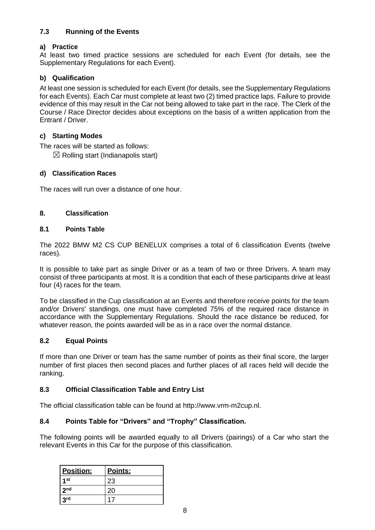# **7.3 Running of the Events**

# **a) Practice**

At least two timed practice sessions are scheduled for each Event (for details, see the Supplementary Regulations for each Event).

# **b) Qualification**

At least one session is scheduled for each Event (for details, see the Supplementary Regulations for each Events). Each Car must complete at least two (2) timed practice laps. Failure to provide evidence of this may result in the Car not being allowed to take part in the race. The Clerk of the Course / Race Director decides about exceptions on the basis of a written application from the Entrant / Driver.

# **c) Starting Modes**

The races will be started as follows:

 $\boxtimes$  Rolling start (Indianapolis start)

# **d) Classification Races**

The races will run over a distance of one hour.

# **8. Classification**

# **8.1 Points Table**

The 2022 BMW M2 CS CUP BENELUX comprises a total of 6 classification Events (twelve races).

It is possible to take part as single Driver or as a team of two or three Drivers. A team may consist of three participants at most. It is a condition that each of these participants drive at least four (4) races for the team.

To be classified in the Cup classification at an Events and therefore receive points for the team and/or Drivers' standings, one must have completed 75% of the required race distance in accordance with the Supplementary Regulations. Should the race distance be reduced, for whatever reason, the points awarded will be as in a race over the normal distance.

# **8.2 Equal Points**

If more than one Driver or team has the same number of points as their final score, the larger number of first places then second places and further places of all races held will decide the ranking.

# **8.3 Official Classification Table and Entry List**

The official classification table can be found at http://www.vrm-m2cup.nl.

# **8.4 Points Table for "Drivers" and "Trophy" Classification.**

The following points will be awarded equally to all Drivers (pairings) of a Car who start the relevant Events in this Car for the purpose of this classification.

| Position:       | Points: |
|-----------------|---------|
| 1st             | 23      |
| 2 <sub>nd</sub> | 20      |
| 3 <sup>rd</sup> |         |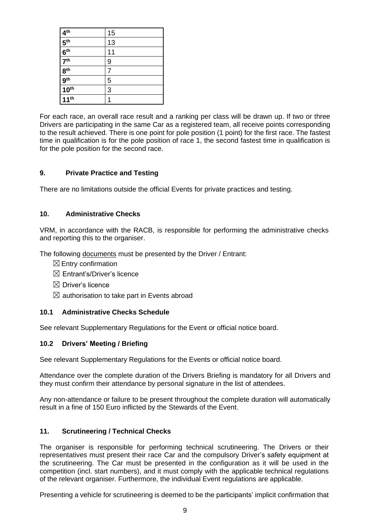| 4 <sup>th</sup>     | 15 |
|---------------------|----|
| 5 <sup>th</sup>     | 13 |
| 6 <sup>th</sup>     | 11 |
| $\overline{7^{th}}$ | 9  |
| 8 <sup>th</sup>     |    |
| $\frac{1}{9}$ th    | 5  |
| 10 <sup>th</sup>    | 3  |
| 11 <sup>th</sup>    |    |

For each race, an overall race result and a ranking per class will be drawn up. If two or three Drivers are participating in the same Car as a registered team, all receive points corresponding to the result achieved. There is one point for pole position (1 point) for the first race. The fastest time in qualification is for the pole position of race 1, the second fastest time in qualification is for the pole position for the second race.

#### **9. Private Practice and Testing**

There are no limitations outside the official Events for private practices and testing.

#### **10. Administrative Checks**

VRM, in accordance with the RACB, is responsible for performing the administrative checks and reporting this to the organiser.

The following documents must be presented by the Driver / Entrant:

- $\boxtimes$  Entry confirmation
- $\boxtimes$  Entrant's/Driver's licence
- $\boxtimes$  Driver's licence
- $\boxtimes$  authorisation to take part in Events abroad

#### **10.1 Administrative Checks Schedule**

See relevant Supplementary Regulations for the Event or official notice board.

#### **10.2 Drivers' Meeting / Briefing**

See relevant Supplementary Regulations for the Events or official notice board.

Attendance over the complete duration of the Drivers Briefing is mandatory for all Drivers and they must confirm their attendance by personal signature in the list of attendees.

Any non-attendance or failure to be present throughout the complete duration will automatically result in a fine of 150 Euro inflicted by the Stewards of the Event.

#### **11. Scrutineering / Technical Checks**

The organiser is responsible for performing technical scrutineering. The Drivers or their representatives must present their race Car and the compulsory Driver's safety equipment at the scrutineering. The Car must be presented in the configuration as it will be used in the competition (incl. start numbers), and it must comply with the applicable technical regulations of the relevant organiser. Furthermore, the individual Event regulations are applicable.

Presenting a vehicle for scrutineering is deemed to be the participants' implicit confirmation that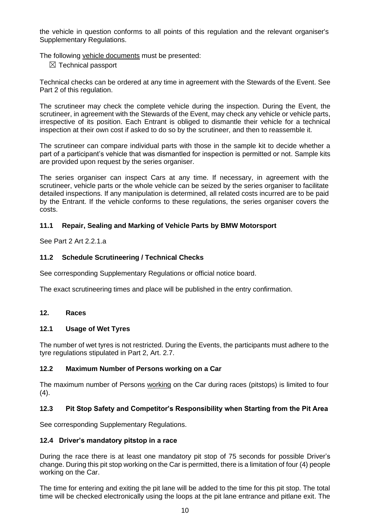the vehicle in question conforms to all points of this regulation and the relevant organiser's Supplementary Regulations.

The following vehicle documents must be presented:

 $\boxtimes$  Technical passport

Technical checks can be ordered at any time in agreement with the Stewards of the Event. See Part 2 of this regulation.

The scrutineer may check the complete vehicle during the inspection. During the Event, the scrutineer, in agreement with the Stewards of the Event, may check any vehicle or vehicle parts, irrespective of its position. Each Entrant is obliged to dismantle their vehicle for a technical inspection at their own cost if asked to do so by the scrutineer, and then to reassemble it.

The scrutineer can compare individual parts with those in the sample kit to decide whether a part of a participant's vehicle that was dismantled for inspection is permitted or not. Sample kits are provided upon request by the series organiser.

The series organiser can inspect Cars at any time. If necessary, in agreement with the scrutineer, vehicle parts or the whole vehicle can be seized by the series organiser to facilitate detailed inspections. If any manipulation is determined, all related costs incurred are to be paid by the Entrant. If the vehicle conforms to these regulations, the series organiser covers the costs.

#### **11.1 Repair, Sealing and Marking of Vehicle Parts by BMW Motorsport**

See Part 2 Art 2.2.1.a

#### **11.2 Schedule Scrutineering / Technical Checks**

See corresponding Supplementary Regulations or official notice board.

The exact scrutineering times and place will be published in the entry confirmation.

#### **12. Races**

#### **12.1 Usage of Wet Tyres**

The number of wet tyres is not restricted. During the Events, the participants must adhere to the tyre regulations stipulated in Part 2, Art. 2.7.

#### **12.2 Maximum Number of Persons working on a Car**

The maximum number of Persons working on the Car during races (pitstops) is limited to four  $(4).$ 

#### **12.3 Pit Stop Safety and Competitor's Responsibility when Starting from the Pit Area**

See corresponding Supplementary Regulations.

#### **12.4 Driver's mandatory pitstop in a race**

During the race there is at least one mandatory pit stop of 75 seconds for possible Driver's change. During this pit stop working on the Car is permitted, there is a limitation of four (4) people working on the Car.

The time for entering and exiting the pit lane will be added to the time for this pit stop. The total time will be checked electronically using the loops at the pit lane entrance and pitlane exit. The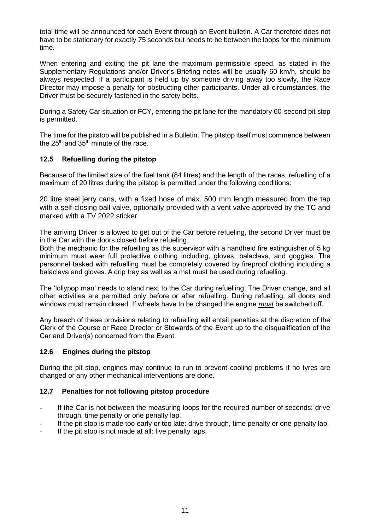total time will be announced for each Event through an Event bulletin. A Car therefore does not have to be stationary for exactly 75 seconds but needs to be between the loops for the minimum time.

When entering and exiting the pit lane the maximum permissible speed, as stated in the Supplementary Regulations and/or Driver's Briefing notes will be usually 60 km/h, should be always respected. If a participant is held up by someone driving away too slowly, the Race Director may impose a penalty for obstructing other participants. Under all circumstances, the Driver must be securely fastened in the safety belts.

During a Safety Car situation or FCY, entering the pit lane for the mandatory 60-second pit stop is permitted.

The time for the pitstop will be published in a Bulletin. The pitstop itself must commence between the  $25<sup>th</sup>$  and  $35<sup>th</sup>$  minute of the race.

#### **12.5 Refuelling during the pitstop**

Because of the limited size of the fuel tank (84 litres) and the length of the races, refuelling of a maximum of 20 litres during the pitstop is permitted under the following conditions:

20 litre steel jerry cans, with a fixed hose of max. 500 mm length measured from the tap with a self-closing ball valve, optionally provided with a vent valve approved by the TC and marked with a TV 2022 sticker.

The arriving Driver is allowed to get out of the Car before refueling, the second Driver must be in the Car with the doors closed before refueling.

Both the mechanic for the refuelling as the supervisor with a handheld fire extinguisher of 5 kg minimum must wear full protective clothing including, gloves, balaclava, and goggles. The personnel tasked with refuelling must be completely covered by fireproof clothing including a balaclava and gloves. A drip tray as well as a mat must be used during refuelling.

The 'lollypop man' needs to stand next to the Car during refuelling. The Driver change, and all other activities are permitted only before or after refuelling. During refuelling, all doors and windows must remain closed. If wheels have to be changed the engine *must* be switched off.

Any breach of these provisions relating to refuelling will entail penalties at the discretion of the Clerk of the Course or Race Director or Stewards of the Event up to the disqualification of the Car and Driver(s) concerned from the Event.

#### **12.6 Engines during the pitstop**

During the pit stop, engines may continue to run to prevent cooling problems if no tyres are changed or any other mechanical interventions are done.

#### **12.7 Penalties for not following pitstop procedure**

- If the Car is not between the measuring loops for the required number of seconds: drive through, time penalty or one penalty lap.
- If the pit stop is made too early or too late: drive through, time penalty or one penalty lap.
- If the pit stop is not made at all: five penalty laps.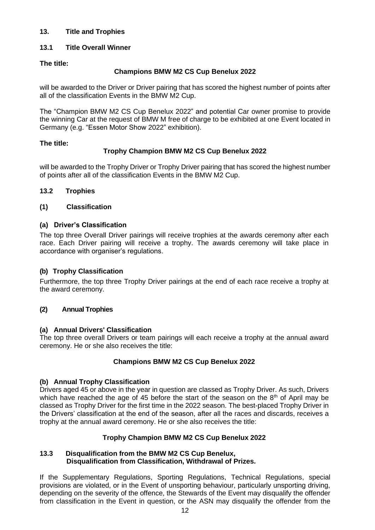### **13. Title and Trophies**

# **13.1 Title Overall Winner**

### **The title:**

#### **Champions BMW M2 CS Cup Benelux 2022**

will be awarded to the Driver or Driver pairing that has scored the highest number of points after all of the classification Events in the BMW M2 Cup.

The "Champion BMW M2 CS Cup Benelux 2022" and potential Car owner promise to provide the winning Car at the request of BMW M free of charge to be exhibited at one Event located in Germany (e.g. "Essen Motor Show 2022" exhibition).

#### **The title:**

# **Trophy Champion BMW M2 CS Cup Benelux 2022**

will be awarded to the Trophy Driver or Trophy Driver pairing that has scored the highest number of points after all of the classification Events in the BMW M2 Cup.

# **13.2 Trophies**

#### **(1) Classification**

#### **(a) Driver's Classification**

The top three Overall Driver pairings will receive trophies at the awards ceremony after each race. Each Driver pairing will receive a trophy. The awards ceremony will take place in accordance with organiser's regulations.

# **(b) Trophy Classification**

Furthermore, the top three Trophy Driver pairings at the end of each race receive a trophy at the award ceremony.

#### **(2) Annual Trophies**

#### **(a) Annual Drivers' Classification**

The top three overall Drivers or team pairings will each receive a trophy at the annual award ceremony. He or she also receives the title:

#### **Champions BMW M2 CS Cup Benelux 2022**

#### **(b) Annual Trophy Classification**

Drivers aged 45 or above in the year in question are classed as Trophy Driver. As such, Drivers which have reached the age of 45 before the start of the season on the  $8<sup>th</sup>$  of April may be classed as Trophy Driver for the first time in the 2022 season. The best-placed Trophy Driver in the Drivers' classification at the end of the season, after all the races and discards, receives a trophy at the annual award ceremony. He or she also receives the title:

# **Trophy Champion BMW M2 CS Cup Benelux 2022**

#### **13.3 Disqualification from the BMW M2 CS Cup Benelux, Disqualification from Classification, Withdrawal of Prizes.**

If the Supplementary Regulations, Sporting Regulations, Technical Regulations, special provisions are violated, or in the Event of unsporting behaviour, particularly unsporting driving, depending on the severity of the offence, the Stewards of the Event may disqualify the offender from classification in the Event in question, or the ASN may disqualify the offender from the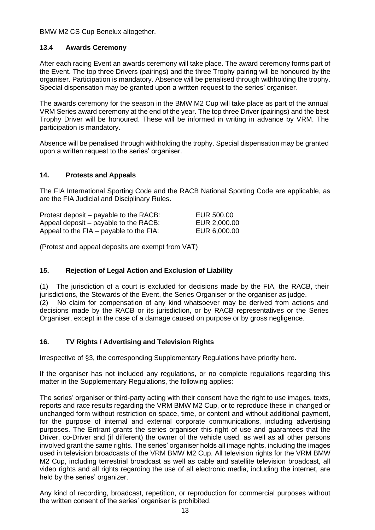BMW M2 CS Cup Benelux altogether.

#### **13.4 Awards Ceremony**

After each racing Event an awards ceremony will take place. The award ceremony forms part of the Event. The top three Drivers (pairings) and the three Trophy pairing will be honoured by the organiser. Participation is mandatory. Absence will be penalised through withholding the trophy. Special dispensation may be granted upon a written request to the series' organiser.

The awards ceremony for the season in the BMW M2 Cup will take place as part of the annual VRM Series award ceremony at the end of the year. The top three Driver (pairings) and the best Trophy Driver will be honoured. These will be informed in writing in advance by VRM. The participation is mandatory.

Absence will be penalised through withholding the trophy. Special dispensation may be granted upon a written request to the series' organiser.

#### **14. Protests and Appeals**

The FIA International Sporting Code and the RACB National Sporting Code are applicable, as are the FIA Judicial and Disciplinary Rules.

| Protest deposit – payable to the RACB:  | EUR 500.00   |
|-----------------------------------------|--------------|
| Appeal deposit – payable to the RACB:   | EUR 2,000.00 |
| Appeal to the FIA – payable to the FIA: | EUR 6,000.00 |

(Protest and appeal deposits are exempt from VAT)

#### **15. Rejection of Legal Action and Exclusion of Liability**

(1) The jurisdiction of a court is excluded for decisions made by the FIA, the RACB, their jurisdictions, the Stewards of the Event, the Series Organiser or the organiser as judge. (2) No claim for compensation of any kind whatsoever may be derived from actions and decisions made by the RACB or its jurisdiction, or by RACB representatives or the Series Organiser, except in the case of a damage caused on purpose or by gross negligence.

#### **16. TV Rights / Advertising and Television Rights**

Irrespective of §3, the corresponding Supplementary Regulations have priority here.

If the organiser has not included any regulations, or no complete regulations regarding this matter in the Supplementary Regulations, the following applies:

The series' organiser or third-party acting with their consent have the right to use images, texts, reports and race results regarding the VRM BMW M2 Cup, or to reproduce these in changed or unchanged form without restriction on space, time, or content and without additional payment, for the purpose of internal and external corporate communications, including advertising purposes. The Entrant grants the series organiser this right of use and guarantees that the Driver, co-Driver and (if different) the owner of the vehicle used, as well as all other persons involved grant the same rights. The series' organiser holds all image rights, including the images used in television broadcasts of the VRM BMW M2 Cup. All television rights for the VRM BMW M2 Cup, including terrestrial broadcast as well as cable and satellite television broadcast, all video rights and all rights regarding the use of all electronic media, including the internet, are held by the series' organizer.

Any kind of recording, broadcast, repetition, or reproduction for commercial purposes without the written consent of the series' organiser is prohibited.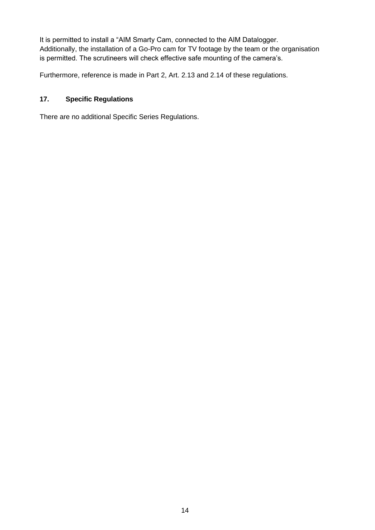It is permitted to install a "AIM Smarty Cam, connected to the AIM Datalogger. Additionally, the installation of a Go-Pro cam for TV footage by the team or the organisation is permitted. The scrutineers will check effective safe mounting of the camera's.

Furthermore, reference is made in Part 2, Art. 2.13 and 2.14 of these regulations.

# **17. Specific Regulations**

There are no additional Specific Series Regulations.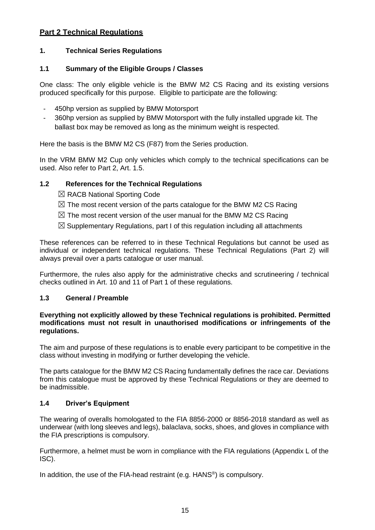# **Part 2 Technical Regulations**

#### **1. Technical Series Regulations**

#### **1.1 Summary of the Eligible Groups / Classes**

One class: The only eligible vehicle is the BMW M2 CS Racing and its existing versions produced specifically for this purpose. Eligible to participate are the following:

- 450hp version as supplied by BMW Motorsport
- 360hp version as supplied by BMW Motorsport with the fully installed upgrade kit. The ballast box may be removed as long as the minimum weight is respected.

Here the basis is the BMW M2 CS (F87) from the Series production.

In the VRM BMW M2 Cup only vehicles which comply to the technical specifications can be used. Also refer to Part 2, Art. 1.5.

#### **1.2 References for the Technical Regulations**

- ☒ RACB National Sporting Code
- $\boxtimes$  The most recent version of the parts catalogue for the BMW M2 CS Racing
- $\boxtimes$  The most recent version of the user manual for the BMW M2 CS Racing
- $\boxtimes$  Supplementary Regulations, part I of this regulation including all attachments

These references can be referred to in these Technical Regulations but cannot be used as individual or independent technical regulations. These Technical Regulations (Part 2) will always prevail over a parts catalogue or user manual.

Furthermore, the rules also apply for the administrative checks and scrutineering / technical checks outlined in Art. 10 and 11 of Part 1 of these regulations.

#### **1.3 General / Preamble**

#### **Everything not explicitly allowed by these Technical regulations is prohibited. Permitted modifications must not result in unauthorised modifications or infringements of the regulations.**

The aim and purpose of these regulations is to enable every participant to be competitive in the class without investing in modifying or further developing the vehicle.

The parts catalogue for the BMW M2 CS Racing fundamentally defines the race car. Deviations from this catalogue must be approved by these Technical Regulations or they are deemed to be inadmissible.

#### **1.4 Driver's Equipment**

The wearing of overalls homologated to the FIA 8856-2000 or 8856-2018 standard as well as underwear (with long sleeves and legs), balaclava, socks, shoes, and gloves in compliance with the FIA prescriptions is compulsory.

Furthermore, a helmet must be worn in compliance with the FIA regulations (Appendix L of the ISC).

In addition, the use of the FIA-head restraint (e.g. HANS<sup>®</sup>) is compulsory.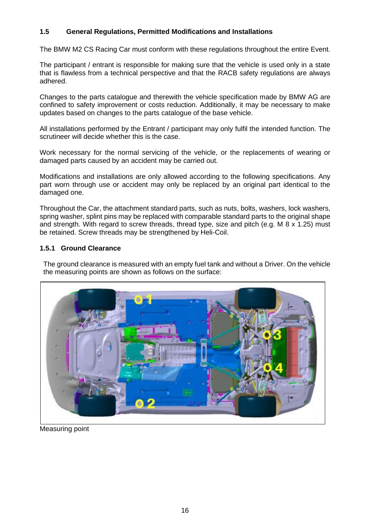# **1.5 General Regulations, Permitted Modifications and Installations**

The BMW M2 CS Racing Car must conform with these regulations throughout the entire Event.

The participant / entrant is responsible for making sure that the vehicle is used only in a state that is flawless from a technical perspective and that the RACB safety regulations are always adhered.

Changes to the parts catalogue and therewith the vehicle specification made by BMW AG are confined to safety improvement or costs reduction. Additionally, it may be necessary to make updates based on changes to the parts catalogue of the base vehicle.

All installations performed by the Entrant / participant may only fulfil the intended function. The scrutineer will decide whether this is the case.

Work necessary for the normal servicing of the vehicle, or the replacements of wearing or damaged parts caused by an accident may be carried out.

Modifications and installations are only allowed according to the following specifications. Any part worn through use or accident may only be replaced by an original part identical to the damaged one.

Throughout the Car, the attachment standard parts, such as nuts, bolts, washers, lock washers, spring washer, splint pins may be replaced with comparable standard parts to the original shape and strength. With regard to screw threads, thread type, size and pitch (e.g. M 8 x 1.25) must be retained. Screw threads may be strengthened by Heli-Coil.

#### **1.5.1 Ground Clearance**

The ground clearance is measured with an empty fuel tank and without a Driver. On the vehicle the measuring points are shown as follows on the surface:



Measuring point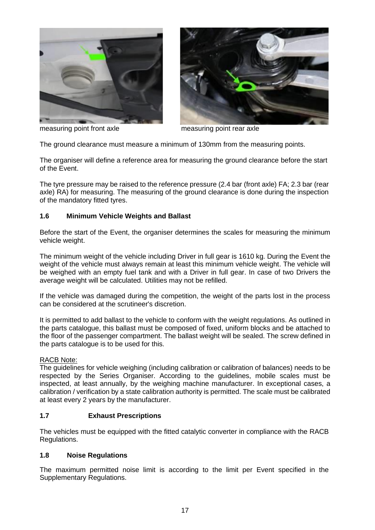





The ground clearance must measure a minimum of 130mm from the measuring points.

The organiser will define a reference area for measuring the ground clearance before the start of the Event.

The tyre pressure may be raised to the reference pressure (2.4 bar (front axle) FA; 2.3 bar (rear axle) RA) for measuring. The measuring of the ground clearance is done during the inspection of the mandatory fitted tyres.

#### **1.6 Minimum Vehicle Weights and Ballast**

Before the start of the Event, the organiser determines the scales for measuring the minimum vehicle weight.

The minimum weight of the vehicle including Driver in full gear is 1610 kg. During the Event the weight of the vehicle must always remain at least this minimum vehicle weight. The vehicle will be weighed with an empty fuel tank and with a Driver in full gear. In case of two Drivers the average weight will be calculated. Utilities may not be refilled.

If the vehicle was damaged during the competition, the weight of the parts lost in the process can be considered at the scrutineer's discretion.

It is permitted to add ballast to the vehicle to conform with the weight regulations. As outlined in the parts catalogue, this ballast must be composed of fixed, uniform blocks and be attached to the floor of the passenger compartment. The ballast weight will be sealed. The screw defined in the parts catalogue is to be used for this.

#### RACB Note:

The guidelines for vehicle weighing (including calibration or calibration of balances) needs to be respected by the Series Organiser. According to the guidelines, mobile scales must be inspected, at least annually, by the weighing machine manufacturer. In exceptional cases, a calibration / verification by a state calibration authority is permitted. The scale must be calibrated at least every 2 years by the manufacturer.

#### **1.7 Exhaust Prescriptions**

The vehicles must be equipped with the fitted catalytic converter in compliance with the RACB Regulations.

#### **1.8 Noise Regulations**

The maximum permitted noise limit is according to the limit per Event specified in the Supplementary Regulations.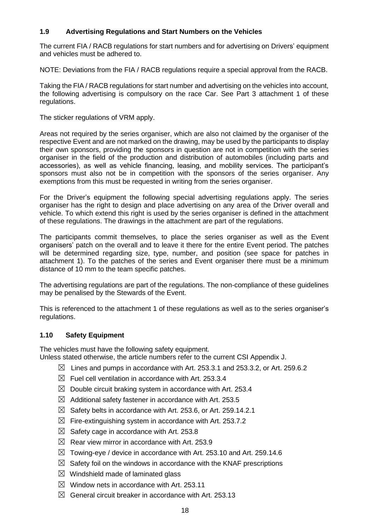### **1.9 Advertising Regulations and Start Numbers on the Vehicles**

The current FIA / RACB regulations for start numbers and for advertising on Drivers' equipment and vehicles must be adhered to.

NOTE: Deviations from the FIA / RACB regulations require a special approval from the RACB.

Taking the FIA / RACB regulations for start number and advertising on the vehicles into account, the following advertising is compulsory on the race Car. See Part 3 attachment 1 of these regulations.

The sticker regulations of VRM apply.

Areas not required by the series organiser, which are also not claimed by the organiser of the respective Event and are not marked on the drawing, may be used by the participants to display their own sponsors, providing the sponsors in question are not in competition with the series organiser in the field of the production and distribution of automobiles (including parts and accessories), as well as vehicle financing, leasing, and mobility services. The participant's sponsors must also not be in competition with the sponsors of the series organiser. Any exemptions from this must be requested in writing from the series organiser.

For the Driver's equipment the following special advertising regulations apply. The series organiser has the right to design and place advertising on any area of the Driver overall and vehicle. To which extend this right is used by the series organiser is defined in the attachment of these regulations. The drawings in the attachment are part of the regulations.

The participants commit themselves, to place the series organiser as well as the Event organisers' patch on the overall and to leave it there for the entire Event period. The patches will be determined regarding size, type, number, and position (see space for patches in attachment 1). To the patches of the series and Event organiser there must be a minimum distance of 10 mm to the team specific patches.

The advertising regulations are part of the regulations. The non-compliance of these guidelines may be penalised by the Stewards of the Event.

This is referenced to the attachment 1 of these regulations as well as to the series organiser's regulations.

#### **1.10 Safety Equipment**

The vehicles must have the following safety equipment. Unless stated otherwise, the article numbers refer to the current CSI Appendix J.

- $\boxtimes$  Lines and pumps in accordance with Art. 253.3.1 and 253.3.2, or Art. 259.6.2
- $\boxtimes$  Fuel cell ventilation in accordance with Art. 253.3.4
- $\boxtimes$  Double circuit braking system in accordance with Art. 253.4
- $\boxtimes$  Additional safety fastener in accordance with Art. 253.5
- $\boxtimes$  Safety belts in accordance with Art. 253.6, or Art. 259.14.2.1
- $\boxtimes$  Fire-extinguishing system in accordance with Art. 253.7.2
- $\boxtimes$  Safety cage in accordance with Art. 253.8
- $\boxtimes$  Rear view mirror in accordance with Art. 253.9
- $\boxtimes$  Towing-eye / device in accordance with Art. 253.10 and Art. 259.14.6
- $\boxtimes$  Safety foil on the windows in accordance with the KNAF prescriptions
- $\boxtimes$  Windshield made of laminated glass
- $\boxtimes$  Window nets in accordance with Art. 253.11
- $\boxtimes$  General circuit breaker in accordance with Art. 253.13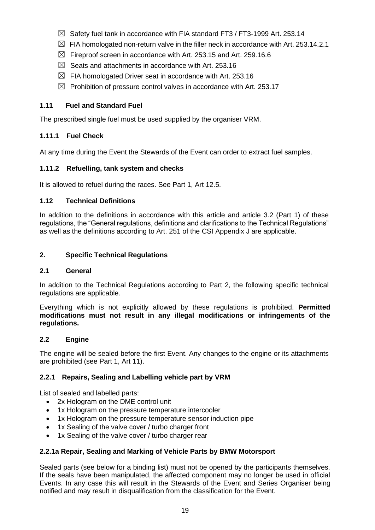- $\boxtimes$  Safety fuel tank in accordance with FIA standard FT3 / FT3-1999 Art. 253.14
- $\boxtimes$  FIA homologated non-return valve in the filler neck in accordance with Art. 253.14.2.1
- $\boxtimes$  Fireproof screen in accordance with Art. 253.15 and Art. 259.16.6
- $\boxtimes$  Seats and attachments in accordance with Art. 253.16
- $\boxtimes$  FIA homologated Driver seat in accordance with Art. 253.16
- $\boxtimes$  Prohibition of pressure control valves in accordance with Art. 253.17

# **1.11 Fuel and Standard Fuel**

The prescribed single fuel must be used supplied by the organiser VRM.

# **1.11.1 Fuel Check**

At any time during the Event the Stewards of the Event can order to extract fuel samples.

# **1.11.2 Refuelling, tank system and checks**

It is allowed to refuel during the races. See Part 1, Art 12.5.

# **1.12 Technical Definitions**

In addition to the definitions in accordance with this article and article 3.2 (Part 1) of these regulations, the "General regulations, definitions and clarifications to the Technical Regulations" as well as the definitions according to Art. 251 of the CSI Appendix J are applicable.

#### **2. Specific Technical Regulations**

#### **2.1 General**

In addition to the Technical Regulations according to Part 2, the following specific technical regulations are applicable.

Everything which is not explicitly allowed by these regulations is prohibited. **Permitted modifications must not result in any illegal modifications or infringements of the regulations.**

#### **2.2 Engine**

The engine will be sealed before the first Event. Any changes to the engine or its attachments are prohibited (see Part 1, Art 11).

# **2.2.1 Repairs, Sealing and Labelling vehicle part by VRM**

List of sealed and labelled parts:

- 2x Hologram on the DME control unit
- 1x Hologram on the pressure temperature intercooler
- 1x Hologram on the pressure temperature sensor induction pipe
- 1x Sealing of the valve cover / turbo charger front
- 1x Sealing of the valve cover / turbo charger rear

#### **2.2.1a Repair, Sealing and Marking of Vehicle Parts by BMW Motorsport**

Sealed parts (see below for a binding list) must not be opened by the participants themselves. If the seals have been manipulated, the affected component may no longer be used in official Events. In any case this will result in the Stewards of the Event and Series Organiser being notified and may result in disqualification from the classification for the Event.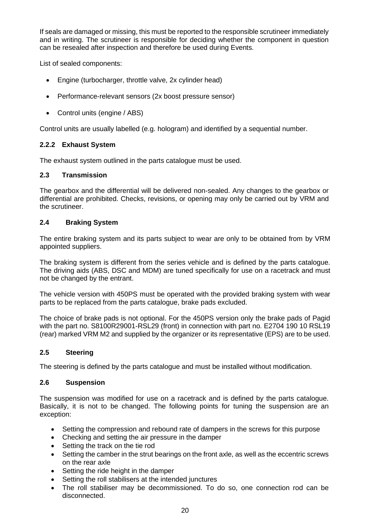If seals are damaged or missing, this must be reported to the responsible scrutineer immediately and in writing. The scrutineer is responsible for deciding whether the component in question can be resealed after inspection and therefore be used during Events.

List of sealed components:

- Engine (turbocharger, throttle valve, 2x cylinder head)
- Performance-relevant sensors (2x boost pressure sensor)
- Control units (engine / ABS)

Control units are usually labelled (e.g. hologram) and identified by a sequential number.

#### **2.2.2 Exhaust System**

The exhaust system outlined in the parts catalogue must be used.

#### **2.3 Transmission**

The gearbox and the differential will be delivered non-sealed. Any changes to the gearbox or differential are prohibited. Checks, revisions, or opening may only be carried out by VRM and the scrutineer.

#### **2.4 Braking System**

The entire braking system and its parts subject to wear are only to be obtained from by VRM appointed suppliers.

The braking system is different from the series vehicle and is defined by the parts catalogue. The driving aids (ABS, DSC and MDM) are tuned specifically for use on a racetrack and must not be changed by the entrant.

The vehicle version with 450PS must be operated with the provided braking system with wear parts to be replaced from the parts catalogue, brake pads excluded.

The choice of brake pads is not optional. For the 450PS version only the brake pads of Pagid with the part no. S8100R29001-RSL29 (front) in connection with part no. E2704 190 10 RSL19 (rear) marked VRM M2 and supplied by the organizer or its representative (EPS) are to be used.

#### **2.5 Steering**

The steering is defined by the parts catalogue and must be installed without modification.

#### **2.6 Suspension**

The suspension was modified for use on a racetrack and is defined by the parts catalogue. Basically, it is not to be changed. The following points for tuning the suspension are an exception:

- Setting the compression and rebound rate of dampers in the screws for this purpose
- Checking and setting the air pressure in the damper
- Setting the track on the tie rod
- Setting the camber in the strut bearings on the front axle, as well as the eccentric screws on the rear axle
- Setting the ride height in the damper
- Setting the roll stabilisers at the intended junctures
- The roll stabiliser may be decommissioned. To do so, one connection rod can be disconnected.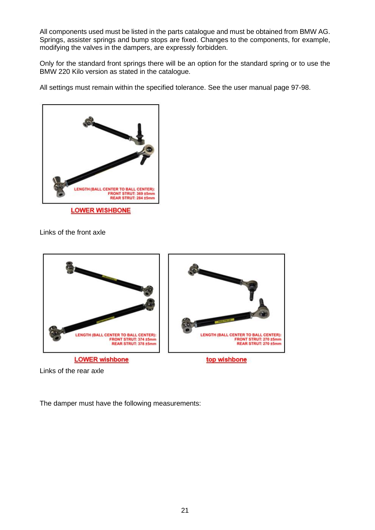All components used must be listed in the parts catalogue and must be obtained from BMW AG. Springs, assister springs and bump stops are fixed. Changes to the components, for example, modifying the valves in the dampers, are expressly forbidden.

Only for the standard front springs there will be an option for the standard spring or to use the BMW 220 Kilo version as stated in the catalogue.

All settings must remain within the specified tolerance. See the user manual page 97-98.



Links of the front axle



Links of the rear axle

The damper must have the following measurements: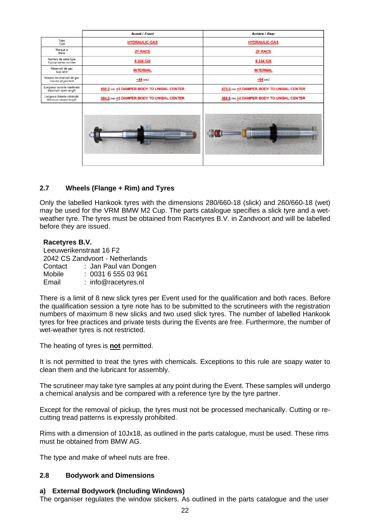|                                                   | Avant / Front                            | Arrière / Rear                           |  |
|---------------------------------------------------|------------------------------------------|------------------------------------------|--|
| Type<br>Type                                      | <b>HYDRAULIC-GAS</b>                     | <b>HYDRAULIC-GAS</b>                     |  |
| Marque e<br>Make                                  | <b>ZF RACE</b>                           | <b>ZF RACE</b>                           |  |
| Numéro de série type<br>Typical series number     | 8 3 2 4 1 2 5                            | 8 234 126                                |  |
| Réservoir de gaz<br>Gas tank                      | <b>INTERNAL</b>                          | <b>INTERNAL</b>                          |  |
| Volume du réservoir de gaz<br>Volume of gas tank  | $-44$ cm3                                | $-64$ cm3                                |  |
| Lonqueur ouverte maximale<br>Maximum open length  | 458.2 mm +2 DAMPER BODY TO UNIBAL CENTER | 475.5 mm +2 DAMPER BODY TO UNIBAL CENTER |  |
| Longueur fermée minimale<br>Minimum closed length | 354.2 mm +2 DAMPER BODY TO UNIBAL CENTER | 368.5 mm +2 DAMPER BODY TO UNIBAL CENTER |  |
|                                                   |                                          |                                          |  |

#### **2.7 Wheels (Flange + Rim) and Tyres**

Only the labelled Hankook tyres with the dimensions 280/660-18 (slick) and 260/660-18 (wet) may be used for the VRM BMW M2 Cup. The parts catalogue specifies a slick tyre and a wetweather tyre. The tyres must be obtained from Racetyres B.V. in Zandvoort and will be labelled before they are issued.

#### **Racetyres B.V.**

Leeuwerikenstraat 16 F2 2042 CS Zandvoort - Netherlands Contact : Jan Paul van Dongen Mobile : 0031 6 555 03 961 Email : info@racetyres.nl

There is a limit of 8 new slick tyres per Event used for the qualification and both races. Before the qualification session a tyre note has to be submitted to the scrutineers with the registration numbers of maximum 8 new slicks and two used slick tyres. The number of labelled Hankook tyres for free practices and private tests during the Events are free. Furthermore, the number of wet-weather tyres is not restricted.

The heating of tyres is **not** permitted.

It is not permitted to treat the tyres with chemicals. Exceptions to this rule are soapy water to clean them and the lubricant for assembly.

The scrutineer may take tyre samples at any point during the Event. These samples will undergo a chemical analysis and be compared with a reference tyre by the tyre partner.

Except for the removal of pickup, the tyres must not be processed mechanically. Cutting or recutting tread patterns is expressly prohibited.

Rims with a dimension of 10Jx18, as outlined in the parts catalogue, must be used. These rims must be obtained from BMW AG.

The type and make of wheel nuts are free.

#### **2.8 Bodywork and Dimensions**

#### **a) External Bodywork (Including Windows)**

The organiser regulates the window stickers. As outlined in the parts catalogue and the user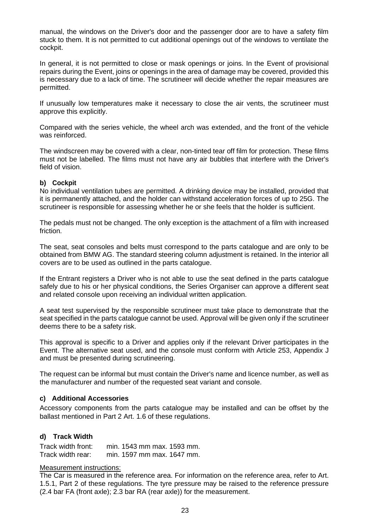manual, the windows on the Driver's door and the passenger door are to have a safety film stuck to them. It is not permitted to cut additional openings out of the windows to ventilate the cockpit.

In general, it is not permitted to close or mask openings or joins. In the Event of provisional repairs during the Event, joins or openings in the area of damage may be covered, provided this is necessary due to a lack of time. The scrutineer will decide whether the repair measures are permitted.

If unusually low temperatures make it necessary to close the air vents, the scrutineer must approve this explicitly.

Compared with the series vehicle, the wheel arch was extended, and the front of the vehicle was reinforced.

The windscreen may be covered with a clear, non-tinted tear off film for protection. These films must not be labelled. The films must not have any air bubbles that interfere with the Driver's field of vision.

#### **b) Cockpit**

No individual ventilation tubes are permitted. A drinking device may be installed, provided that it is permanently attached, and the holder can withstand acceleration forces of up to 25G. The scrutineer is responsible for assessing whether he or she feels that the holder is sufficient.

The pedals must not be changed. The only exception is the attachment of a film with increased friction.

The seat, seat consoles and belts must correspond to the parts catalogue and are only to be obtained from BMW AG. The standard steering column adjustment is retained. In the interior all covers are to be used as outlined in the parts catalogue.

If the Entrant registers a Driver who is not able to use the seat defined in the parts catalogue safely due to his or her physical conditions, the Series Organiser can approve a different seat and related console upon receiving an individual written application.

A seat test supervised by the responsible scrutineer must take place to demonstrate that the seat specified in the parts catalogue cannot be used. Approval will be given only if the scrutineer deems there to be a safety risk.

This approval is specific to a Driver and applies only if the relevant Driver participates in the Event. The alternative seat used, and the console must conform with Article 253, Appendix J and must be presented during scrutineering.

The request can be informal but must contain the Driver's name and licence number, as well as the manufacturer and number of the requested seat variant and console.

#### **c) Additional Accessories**

Accessory components from the parts catalogue may be installed and can be offset by the ballast mentioned in Part 2 Art. 1.6 of these regulations.

#### **d) Track Width**

Track width front: min. 1543 mm max. 1593 mm. Track width rear: min. 1597 mm max. 1647 mm.

#### Measurement instructions:

The Car is measured in the reference area. For information on the reference area, refer to Art. 1.5.1, Part 2 of these regulations. The tyre pressure may be raised to the reference pressure (2.4 bar FA (front axle); 2.3 bar RA (rear axle)) for the measurement.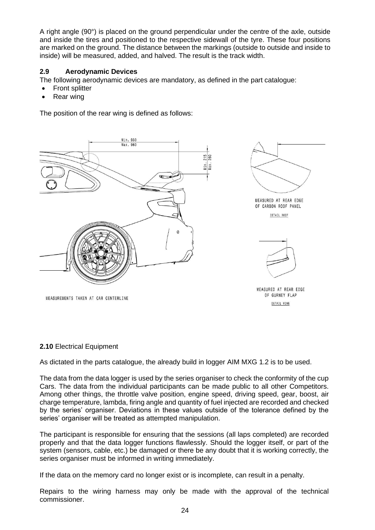A right angle (90°) is placed on the ground perpendicular under the centre of the axle, outside and inside the tires and positioned to the respective sidewall of the tyre. These four positions are marked on the ground. The distance between the markings (outside to outside and inside to inside) will be measured, added, and halved. The result is the track width.

### **2.9 Aerodynamic Devices**

The following aerodynamic devices are mandatory, as defined in the part catalogue:

- **Front splitter**
- Rear wing

The position of the rear wing is defined as follows:







MEASURED AT REAR EDGE OF GURNEY FLAP DETAIL WING

MEASUREMENTS TAKEN AT CAR CENTERLINE

#### **2.10** Electrical Equipment

As dictated in the parts catalogue, the already build in logger AIM MXG 1.2 is to be used.

The data from the data logger is used by the series organiser to check the conformity of the cup Cars. The data from the individual participants can be made public to all other Competitors. Among other things, the throttle valve position, engine speed, driving speed, gear, boost, air charge temperature, lambda, firing angle and quantity of fuel injected are recorded and checked by the series' organiser. Deviations in these values outside of the tolerance defined by the series' organiser will be treated as attempted manipulation.

The participant is responsible for ensuring that the sessions (all laps completed) are recorded properly and that the data logger functions flawlessly. Should the logger itself, or part of the system (sensors, cable, etc.) be damaged or there be any doubt that it is working correctly, the series organiser must be informed in writing immediately.

If the data on the memory card no longer exist or is incomplete, can result in a penalty.

Repairs to the wiring harness may only be made with the approval of the technical commissioner.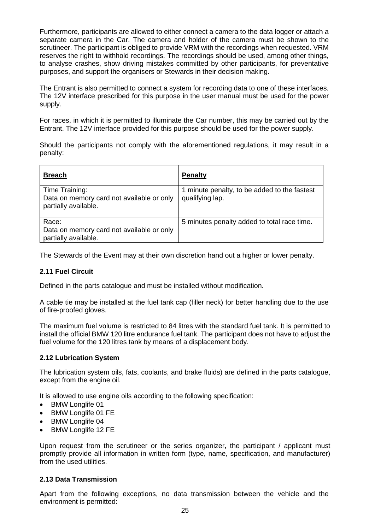Furthermore, participants are allowed to either connect a camera to the data logger or attach a separate camera in the Car. The camera and holder of the camera must be shown to the scrutineer. The participant is obliged to provide VRM with the recordings when requested. VRM reserves the right to withhold recordings. The recordings should be used, among other things, to analyse crashes, show driving mistakes committed by other participants, for preventative purposes, and support the organisers or Stewards in their decision making.

The Entrant is also permitted to connect a system for recording data to one of these interfaces. The 12V interface prescribed for this purpose in the user manual must be used for the power supply.

For races, in which it is permitted to illuminate the Car number, this may be carried out by the Entrant. The 12V interface provided for this purpose should be used for the power supply.

Should the participants not comply with the aforementioned regulations, it may result in a penalty:

| <b>Breach</b>                                                                       | <b>Penalty</b>                                                  |
|-------------------------------------------------------------------------------------|-----------------------------------------------------------------|
| Time Training:<br>Data on memory card not available or only<br>partially available. | 1 minute penalty, to be added to the fastest<br>qualifying lap. |
| Race:<br>Data on memory card not available or only<br>partially available.          | 5 minutes penalty added to total race time.                     |

The Stewards of the Event may at their own discretion hand out a higher or lower penalty.

# **2.11 Fuel Circuit**

Defined in the parts catalogue and must be installed without modification.

A cable tie may be installed at the fuel tank cap (filler neck) for better handling due to the use of fire-proofed gloves.

The maximum fuel volume is restricted to 84 litres with the standard fuel tank. It is permitted to install the official BMW 120 litre endurance fuel tank. The participant does not have to adjust the fuel volume for the 120 litres tank by means of a displacement body.

#### **2.12 Lubrication System**

The lubrication system oils, fats, coolants, and brake fluids) are defined in the parts catalogue, except from the engine oil.

It is allowed to use engine oils according to the following specification:

- BMW Longlife 01
- BMW Longlife 01 FE
- BMW Longlife 04
- BMW Longlife 12 FE

Upon request from the scrutineer or the series organizer, the participant / applicant must promptly provide all information in written form (type, name, specification, and manufacturer) from the used utilities.

#### **2.13 Data Transmission**

Apart from the following exceptions, no data transmission between the vehicle and the environment is permitted: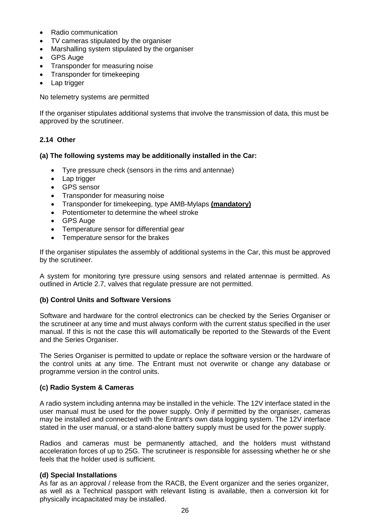- Radio communication
- TV cameras stipulated by the organiser
- Marshalling system stipulated by the organiser
- GPS Auge
- Transponder for measuring noise
- Transponder for timekeeping
- Lap trigger

No telemetry systems are permitted

If the organiser stipulates additional systems that involve the transmission of data, this must be approved by the scrutineer.

# **2.14 Other**

#### **(a) The following systems may be additionally installed in the Car:**

- Tyre pressure check (sensors in the rims and antennae)
- Lap trigger
- GPS sensor
- Transponder for measuring noise
- Transponder for timekeeping, type AMB-Mylaps **(mandatory)**
- Potentiometer to determine the wheel stroke
- GPS Auge
- Temperature sensor for differential gear
- Temperature sensor for the brakes

If the organiser stipulates the assembly of additional systems in the Car, this must be approved by the scrutineer.

A system for monitoring tyre pressure using sensors and related antennae is permitted. As outlined in Article 2.7, valves that regulate pressure are not permitted.

#### **(b) Control Units and Software Versions**

Software and hardware for the control electronics can be checked by the Series Organiser or the scrutineer at any time and must always conform with the current status specified in the user manual. If this is not the case this will automatically be reported to the Stewards of the Event and the Series Organiser.

The Series Organiser is permitted to update or replace the software version or the hardware of the control units at any time. The Entrant must not overwrite or change any database or programme version in the control units.

#### **(c) Radio System & Cameras**

A radio system including antenna may be installed in the vehicle. The 12V interface stated in the user manual must be used for the power supply. Only if permitted by the organiser, cameras may be installed and connected with the Entrant's own data logging system. The 12V interface stated in the user manual, or a stand-alone battery supply must be used for the power supply.

Radios and cameras must be permanently attached, and the holders must withstand acceleration forces of up to 25G. The scrutineer is responsible for assessing whether he or she feels that the holder used is sufficient.

#### **(d) Special Installations**

As far as an approval / release from the RACB, the Event organizer and the series organizer, as well as a Technical passport with relevant listing is available, then a conversion kit for physically incapacitated may be installed.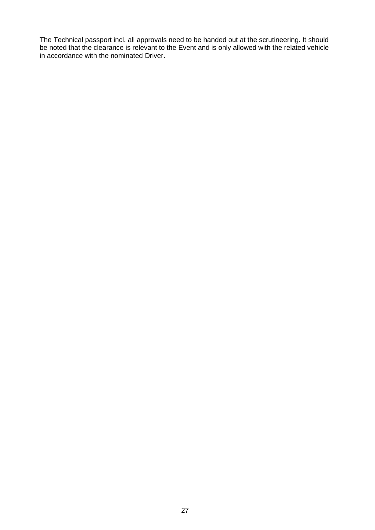The Technical passport incl. all approvals need to be handed out at the scrutineering. It should be noted that the clearance is relevant to the Event and is only allowed with the related vehicle in accordance with the nominated Driver.